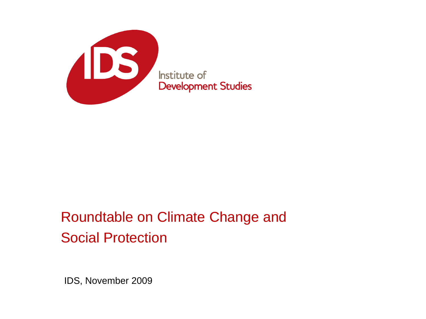

### Roundtable on Climate Change and Social Protection

IDS, November 2009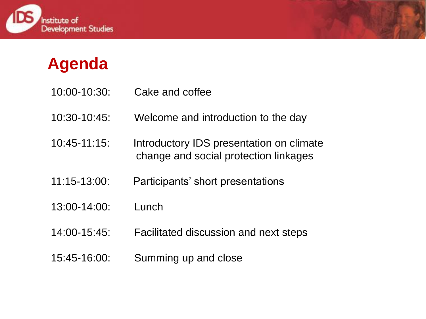



- 10:00-10:30: Cake and coffee
- 10:30-10:45: Welcome and introduction to the day
- 10:45-11:15: Introductory IDS presentation on climate change and social protection linkages
- 11:15-13:00: Participants" short presentations
- 13:00-14:00: Lunch
- 14:00-15:45: Facilitated discussion and next steps
- 15:45-16:00: Summing up and close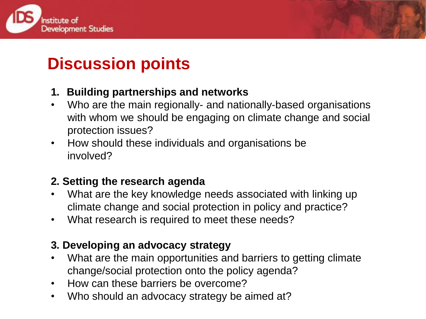



## **Discussion points**

#### **1. Building partnerships and networks**

- Who are the main regionally- and nationally-based organisations with whom we should be engaging on climate change and social protection issues?
- How should these individuals and organisations be involved?

#### **2. Setting the research agenda**

- What are the key knowledge needs associated with linking up climate change and social protection in policy and practice?
- What research is required to meet these needs?

#### **3. Developing an advocacy strategy**

- What are the main opportunities and barriers to getting climate change/social protection onto the policy agenda?
- How can these barriers be overcome?
- Who should an advocacy strategy be aimed at?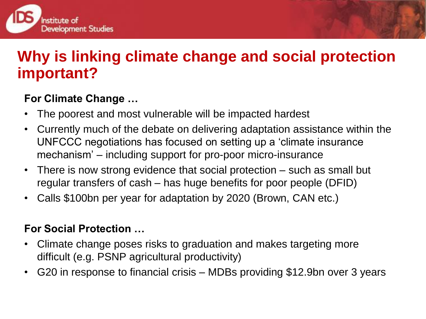

### **Why is linking climate change and social protection important?**

#### **For Climate Change …**

- The poorest and most vulnerable will be impacted hardest
- Currently much of the debate on delivering adaptation assistance within the UNFCCC negotiations has focused on setting up a "climate insurance mechanism" – including support for pro-poor micro-insurance
- There is now strong evidence that social protection such as small but regular transfers of cash – has huge benefits for poor people (DFID)
- Calls \$100bn per year for adaptation by 2020 (Brown, CAN etc.)

#### **For Social Protection …**

- Climate change poses risks to graduation and makes targeting more difficult (e.g. PSNP agricultural productivity)
- G20 in response to financial crisis MDBs providing \$12.9bn over 3 years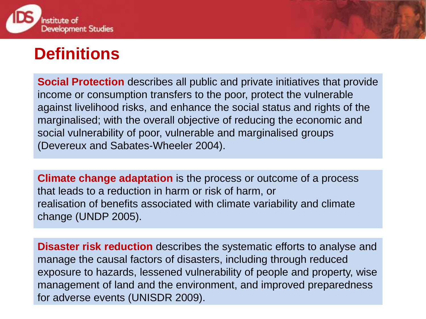

### **Definitions**

**Social Protection** describes all public and private initiatives that provide income or consumption transfers to the poor, protect the vulnerable against livelihood risks, and enhance the social status and rights of the marginalised; with the overall objective of reducing the economic and social vulnerability of poor, vulnerable and marginalised groups (Devereux and Sabates-Wheeler 2004).

**Climate change adaptation** is the process or outcome of a process that leads to a reduction in harm or risk of harm, or realisation of benefits associated with climate variability and climate change (UNDP 2005).

**Disaster risk reduction** describes the systematic efforts to analyse and manage the causal factors of disasters, including through reduced exposure to hazards, lessened vulnerability of people and property, wise management of land and the environment, and improved preparedness for adverse events (UNISDR 2009).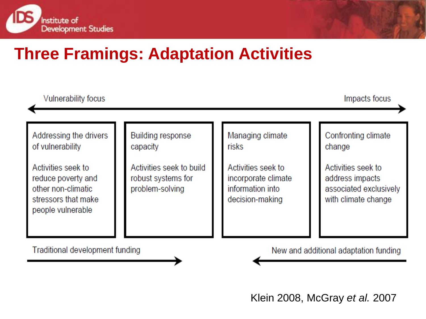





Klein 2008, McGray *et al.* 2007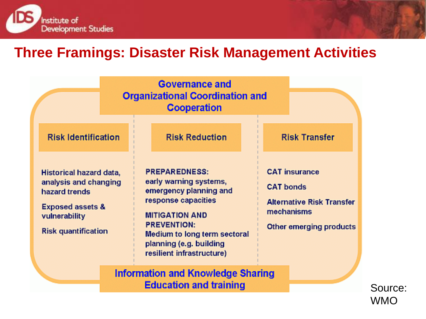

### **Three Framings: Disaster Risk Management Activities**

|                                                                                                                                                 | <b>Organizational Coordination and</b>                                                                                                                                                                                                 |                                                                                                                       |  |  |
|-------------------------------------------------------------------------------------------------------------------------------------------------|----------------------------------------------------------------------------------------------------------------------------------------------------------------------------------------------------------------------------------------|-----------------------------------------------------------------------------------------------------------------------|--|--|
| <b>Risk Identification</b>                                                                                                                      | <b>Risk Reduction</b>                                                                                                                                                                                                                  | <b>Risk Transfer</b>                                                                                                  |  |  |
| Historical hazard data,<br>analysis and changing<br>hazard trends<br><b>Exposed assets &amp;</b><br>vulnerability<br><b>Risk quantification</b> | <b>PREPAREDNESS:</b><br>early warning systems,<br>emergency planning and<br>response capacities<br><b>MITIGATION AND</b><br><b>PREVENTION:</b><br>Medium to long term sectoral<br>planning (e.g. building<br>resilient infrastructure) | <b>CAT</b> insurance<br><b>CAT bonds</b><br><b>Alternative Risk Transfer</b><br>mechanisms<br>Other emerging products |  |  |
| <b>Information and Knowledge Sharing</b><br><b>Education and training</b>                                                                       |                                                                                                                                                                                                                                        |                                                                                                                       |  |  |

Source: WMO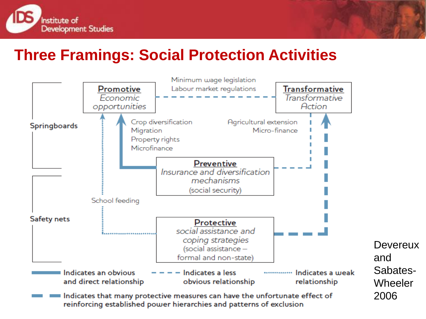

### **Three Framings: Social Protection Activities**

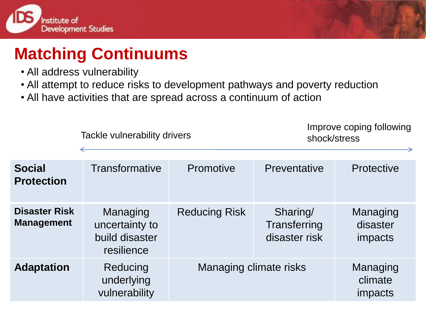



Improve coping following

# **Matching Continuums**

- All address vulnerability
- All attempt to reduce risks to development pathways and poverty reduction
- All have activities that are spread across a continuum of action

Tackle vulnerability drivers

|                                           | <b>Tackle vulnerability drivers</b>                        |                        | shock/stress                              |                                        |  |
|-------------------------------------------|------------------------------------------------------------|------------------------|-------------------------------------------|----------------------------------------|--|
| <b>Social</b><br><b>Protection</b>        | Transformative                                             | Promotive              | Preventative                              | Protective                             |  |
| <b>Disaster Risk</b><br><b>Management</b> | Managing<br>uncertainty to<br>build disaster<br>resilience | <b>Reducing Risk</b>   | Sharing/<br>Transferring<br>disaster risk | Managing<br>disaster<br><i>impacts</i> |  |
| <b>Adaptation</b>                         | Reducing<br>underlying<br>vulnerability                    | Managing climate risks |                                           | Managing<br>climate<br>impacts         |  |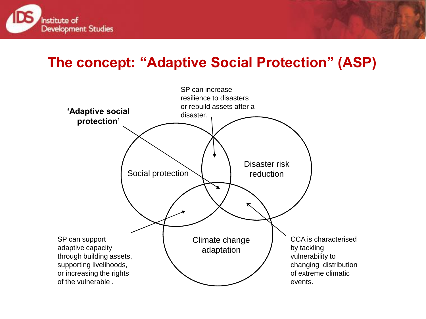

### **The concept: "Adaptive Social Protection" (ASP)**

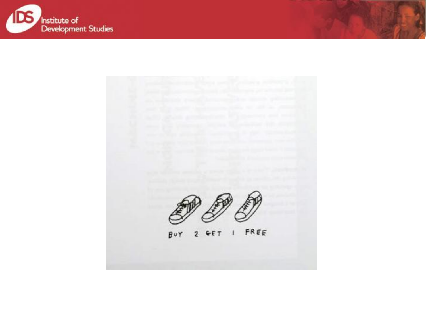

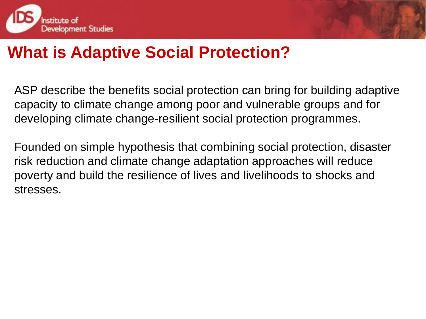



### **What is Adaptive Social Protection?**

ASP describe the benefits social protection can bring for building adaptive capacity to climate change among poor and vulnerable groups and for developing climate change-resilient social protection programmes.

Founded on simple hypothesis that combining social protection, disaster risk reduction and climate change adaptation approaches will reduce poverty and build the resilience of lives and livelihoods to shocks and stresses.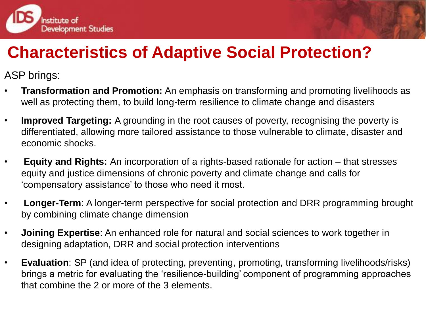

# **Characteristics of Adaptive Social Protection?**

ASP brings:

- **Transformation and Promotion:** An emphasis on transforming and promoting livelihoods as well as protecting them, to build long-term resilience to climate change and disasters
- **Improved Targeting:** A grounding in the root causes of poverty, recognising the poverty is differentiated, allowing more tailored assistance to those vulnerable to climate, disaster and economic shocks.
- **Equity and Rights:** An incorporation of a rights-based rationale for action that stresses equity and justice dimensions of chronic poverty and climate change and calls for "compensatory assistance" to those who need it most.
- **Longer-Term**: A longer-term perspective for social protection and DRR programming brought by combining climate change dimension
- **Joining Expertise**: An enhanced role for natural and social sciences to work together in designing adaptation, DRR and social protection interventions
- **Evaluation**: SP (and idea of protecting, preventing, promoting, transforming livelihoods/risks) brings a metric for evaluating the "resilience-building" component of programming approaches that combine the 2 or more of the 3 elements.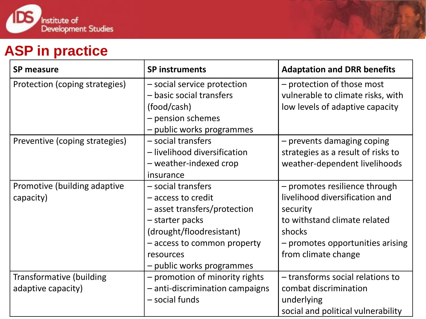

### **ASP in practice**

| <b>SP measure</b>               | <b>SP instruments</b>                                                                       | <b>Adaptation and DRR benefits</b>                                                                 |
|---------------------------------|---------------------------------------------------------------------------------------------|----------------------------------------------------------------------------------------------------|
| Protection (coping strategies)  | - social service protection<br>- basic social transfers<br>(food/cash)<br>- pension schemes | - protection of those most<br>vulnerable to climate risks, with<br>low levels of adaptive capacity |
|                                 | - public works programmes                                                                   |                                                                                                    |
| Preventive (coping strategies)  | - social transfers                                                                          | - prevents damaging coping                                                                         |
|                                 | - livelihood diversification                                                                | strategies as a result of risks to                                                                 |
|                                 | - weather-indexed crop                                                                      | weather-dependent livelihoods                                                                      |
|                                 | insurance                                                                                   |                                                                                                    |
| Promotive (building adaptive    | - social transfers                                                                          | - promotes resilience through                                                                      |
| capacity)                       | - access to credit                                                                          | livelihood diversification and                                                                     |
|                                 | - asset transfers/protection                                                                | security                                                                                           |
|                                 | - starter packs                                                                             | to withstand climate related                                                                       |
|                                 | (drought/floodresistant)                                                                    | shocks                                                                                             |
|                                 | - access to common property                                                                 | - promotes opportunities arising                                                                   |
|                                 | resources                                                                                   | from climate change                                                                                |
|                                 | - public works programmes                                                                   |                                                                                                    |
| <b>Transformative (building</b> | - promotion of minority rights                                                              | - transforms social relations to                                                                   |
| adaptive capacity)              | - anti-discrimination campaigns                                                             | combat discrimination                                                                              |
|                                 | - social funds                                                                              | underlying                                                                                         |
|                                 |                                                                                             | social and political vulnerability                                                                 |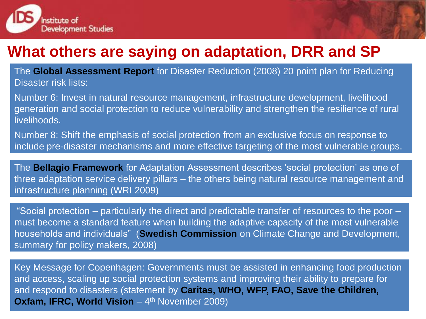

### **What others are saying on adaptation, DRR and SP**

The **Global Assessment Report** for Disaster Reduction (2008) 20 point plan for Reducing Disaster risk lists:

Number 6: Invest in natural resource management, infrastructure development, livelihood generation and social protection to reduce vulnerability and strengthen the resilience of rural livelihoods.

Number 8: Shift the emphasis of social protection from an exclusive focus on response to include pre-disaster mechanisms and more effective targeting of the most vulnerable groups.

The **Bellagio Framework** for Adaptation Assessment describes "social protection" as one of three adaptation service delivery pillars – the others being natural resource management and infrastructure planning (WRI 2009)

"Social protection – particularly the direct and predictable transfer of resources to the poor – must become a standard feature when building the adaptive capacity of the most vulnerable households and individuals" (**Swedish Commission** on Climate Change and Development, summary for policy makers, 2008)

Key Message for Copenhagen: Governments must be assisted in enhancing food production and access, scaling up social protection systems and improving their ability to prepare for and respond to disasters (statement by **Caritas, WHO, WFP, FAO, Save the Children, Oxfam, IFRC, World Vision** – 4<sup>th</sup> November 2009)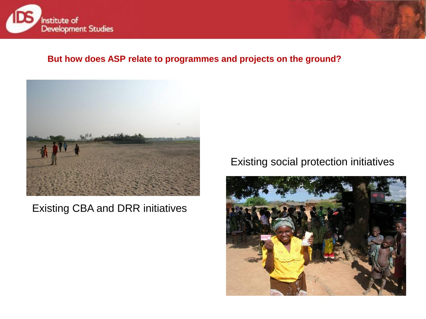

#### **But how does ASP relate to programmes and projects on the ground?**



#### Existing CBA and DRR initiatives

#### Existing social protection initiatives

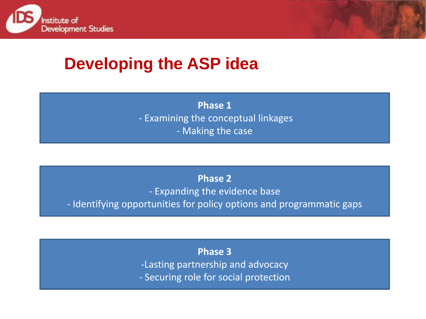



# **Developing the ASP idea**

**Phase 1**  - Examining the conceptual linkages - Making the case

**Phase 2**  - Expanding the evidence base - Identifying opportunities for policy options and programmatic gaps

> **Phase 3** -Lasting partnership and advocacy - Securing role for social protection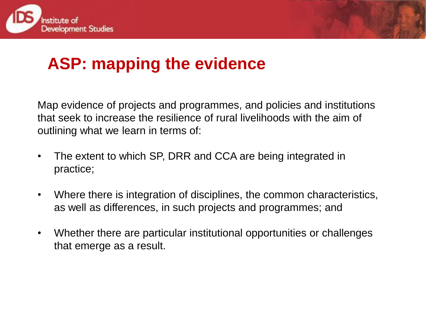



# **ASP: mapping the evidence**

Map evidence of projects and programmes, and policies and institutions that seek to increase the resilience of rural livelihoods with the aim of outlining what we learn in terms of:

- The extent to which SP, DRR and CCA are being integrated in practice;
- Where there is integration of disciplines, the common characteristics, as well as differences, in such projects and programmes; and
- Whether there are particular institutional opportunities or challenges that emerge as a result.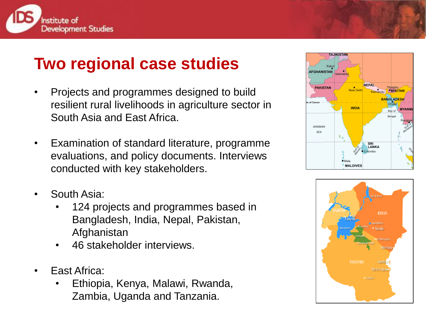

## **Two regional case studies**

- Projects and programmes designed to build resilient rural livelihoods in agriculture sector in South Asia and East Africa.
- Examination of standard literature, programme evaluations, and policy documents. Interviews conducted with key stakeholders.
- South Asia:
	- 124 projects and programmes based in Bangladesh, India, Nepal, Pakistan, Afghanistan
	- 46 stakeholder interviews.
- **East Africa:** 
	- Ethiopia, Kenya, Malawi, Rwanda, Zambia, Uganda and Tanzania.



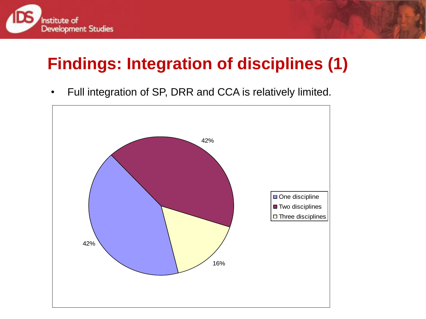

# **Findings: Integration of disciplines (1)**

• Full integration of SP, DRR and CCA is relatively limited.

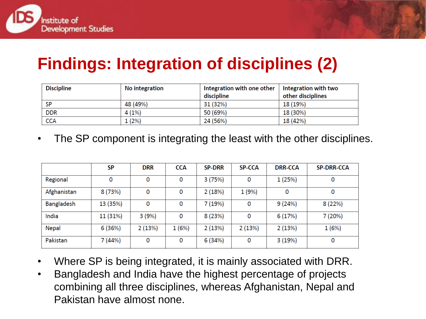

# **Findings: Integration of disciplines (2)**

| <b>Discipline</b> | No integration | Integration with one other | Integration with two |
|-------------------|----------------|----------------------------|----------------------|
|                   |                | discipline                 | other disciplines    |
| <b>SP</b>         | 48 (49%)       | 31 (32%)                   | 18 (19%)             |
| <b>DDR</b>        | 4(1%)          | 50 (69%)                   | 18 (30%)             |
| <b>CCA</b>        | 1(2%)          | 24 (56%)                   | 18 (42%)             |

• The SP component is integrating the least with the other disciplines.

|                   | <b>SP</b> | <b>DRR</b> | <b>CCA</b> | <b>SP-DRR</b> | <b>SP-CCA</b> | <b>DRR-CCA</b> | <b>SP-DRR-CCA</b> |
|-------------------|-----------|------------|------------|---------------|---------------|----------------|-------------------|
| Regional          | 0         | 0          | 0          | 3(75%)        | 0             | 1(25%)         | 0                 |
| Afghanistan       | 8(73%)    | 0          | 0          | 2(18%)        | 1(9%)         | 0              | 0                 |
| <b>Bangladesh</b> | 13 (35%)  | 0          | 0          | 7 (19%)       | 0             | 9(24%)         | 8(22%)            |
| India             | 11 (31%)  | 3(9%)      | 0          | 8(23%)        | 0             | 6(17%)         | 7(20%)            |
| <b>Nepal</b>      | 6(36%)    | 2(13%)     | 1(6%)      | 2(13%)        | 2(13%)        | 2(13%)         | 1(6%)             |
| Pakistan          | 7(44%)    | 0          | 0          | 6(34%)        | 0             | 3(19%)         | 0                 |

- Where SP is being integrated, it is mainly associated with DRR.
- Bangladesh and India have the highest percentage of projects combining all three disciplines, whereas Afghanistan, Nepal and Pakistan have almost none.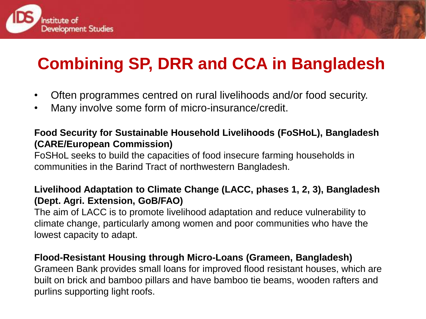

# **Combining SP, DRR and CCA in Bangladesh**

- Often programmes centred on rural livelihoods and/or food security.
- Many involve some form of micro-insurance/credit.

#### **Food Security for Sustainable Household Livelihoods (FoSHoL), Bangladesh (CARE/European Commission)**

FoSHoL seeks to build the capacities of food insecure farming households in communities in the Barind Tract of northwestern Bangladesh.

#### **Livelihood Adaptation to Climate Change (LACC, phases 1, 2, 3), Bangladesh (Dept. Agri. Extension, GoB/FAO)**

The aim of LACC is to promote livelihood adaptation and reduce vulnerability to climate change, particularly among women and poor communities who have the lowest capacity to adapt.

#### **Flood-Resistant Housing through Micro-Loans (Grameen, Bangladesh)**

Grameen Bank provides small loans for improved flood resistant houses, which are built on brick and bamboo pillars and have bamboo tie beams, wooden rafters and purlins supporting light roofs.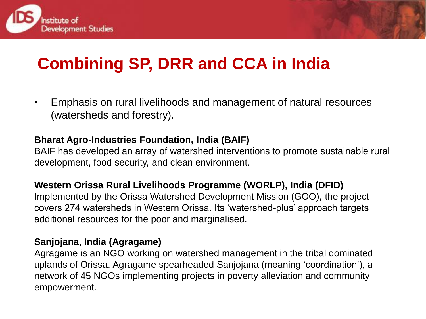



# **Combining SP, DRR and CCA in India**

• Emphasis on rural livelihoods and management of natural resources (watersheds and forestry).

#### **Bharat Agro-Industries Foundation, India (BAIF)**

BAIF has developed an array of watershed interventions to promote sustainable rural development, food security, and clean environment.

#### **Western Orissa Rural Livelihoods Programme (WORLP), India (DFID)**

Implemented by the Orissa Watershed Development Mission (GOO), the project covers 274 watersheds in Western Orissa. Its "watershed-plus" approach targets additional resources for the poor and marginalised.

#### **Sanjojana, India (Agragame)**

Agragame is an NGO working on watershed management in the tribal dominated uplands of Orissa. Agragame spearheaded Sanjojana (meaning "coordination"), a network of 45 NGOs implementing projects in poverty alleviation and community empowerment.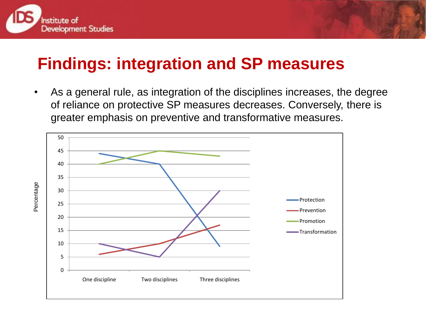



### **Findings: integration and SP measures**

• As a general rule, as integration of the disciplines increases, the degree of reliance on protective SP measures decreases. Conversely, there is greater emphasis on preventive and transformative measures.

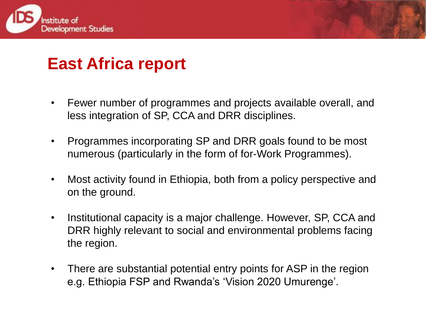



## **East Africa report**

- Fewer number of programmes and projects available overall, and less integration of SP, CCA and DRR disciplines.
- Programmes incorporating SP and DRR goals found to be most numerous (particularly in the form of for-Work Programmes).
- Most activity found in Ethiopia, both from a policy perspective and on the ground.
- Institutional capacity is a major challenge. However, SP, CCA and DRR highly relevant to social and environmental problems facing the region.
- There are substantial potential entry points for ASP in the region e.g. Ethiopia FSP and Rwanda"s "Vision 2020 Umurenge".